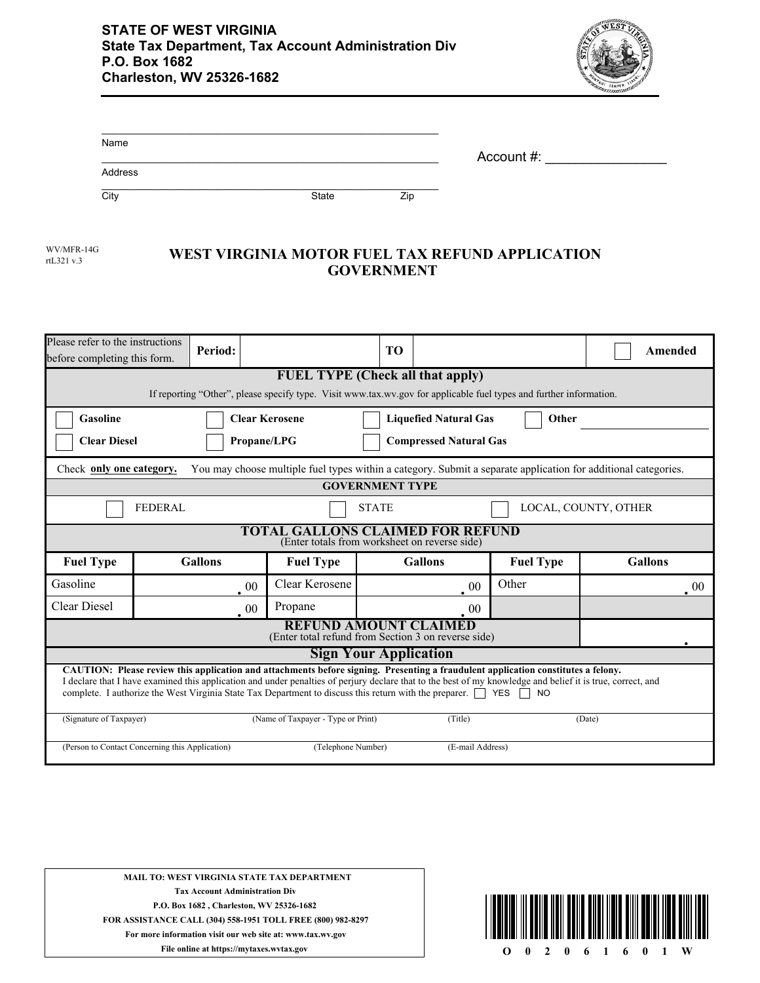

| Name    |       |     | Account #: |  |
|---------|-------|-----|------------|--|
| Address |       |     |            |  |
| City    | State | Zip |            |  |

| WV/MFR-14  |  |
|------------|--|
| rtL321 v.3 |  |

## **WEST VIRGINIA MOTOR FUEL TAX REFUND APPLICATION GOVERNMENT**

| Please refer to the instructions<br>before completing this form.                                                                                                                                                                                                                                                                                                                                                                   |                                                                                                                                                               | Period:        |                                    | T <sub>O</sub>         |                |                  | Amended        |
|------------------------------------------------------------------------------------------------------------------------------------------------------------------------------------------------------------------------------------------------------------------------------------------------------------------------------------------------------------------------------------------------------------------------------------|---------------------------------------------------------------------------------------------------------------------------------------------------------------|----------------|------------------------------------|------------------------|----------------|------------------|----------------|
|                                                                                                                                                                                                                                                                                                                                                                                                                                    | <b>FUEL TYPE</b> (Check all that apply)<br>If reporting "Other", please specify type. Visit www.tax.wv.gov for applicable fuel types and further information. |                |                                    |                        |                |                  |                |
| Gasoline<br><b>Clear Kerosene</b><br><b>Liquefied Natural Gas</b><br>Other<br><b>Clear Diesel</b><br><b>Compressed Natural Gas</b><br><b>Propane/LPG</b>                                                                                                                                                                                                                                                                           |                                                                                                                                                               |                |                                    |                        |                |                  |                |
|                                                                                                                                                                                                                                                                                                                                                                                                                                    | You may choose multiple fuel types within a category. Submit a separate application for additional categories.<br>Check only one category.                    |                |                                    |                        |                |                  |                |
|                                                                                                                                                                                                                                                                                                                                                                                                                                    |                                                                                                                                                               |                |                                    | <b>GOVERNMENT TYPE</b> |                |                  |                |
|                                                                                                                                                                                                                                                                                                                                                                                                                                    | <b>FEDERAL</b><br>LOCAL, COUNTY, OTHER<br><b>STATE</b>                                                                                                        |                |                                    |                        |                |                  |                |
| <b>TOTAL GALLONS CLAIMED FOR REFUND</b><br>(Enter totals from worksheet on reverse side)                                                                                                                                                                                                                                                                                                                                           |                                                                                                                                                               |                |                                    |                        |                |                  |                |
| <b>Fuel Type</b>                                                                                                                                                                                                                                                                                                                                                                                                                   |                                                                                                                                                               | <b>Gallons</b> | <b>Fuel Type</b>                   |                        | <b>Gallons</b> | <b>Fuel Type</b> | <b>Gallons</b> |
| Gasoline                                                                                                                                                                                                                                                                                                                                                                                                                           |                                                                                                                                                               | $\cdot$ 00     | Clear Kerosene                     |                        | 00             | Other            | -00            |
| <b>Clear Diesel</b>                                                                                                                                                                                                                                                                                                                                                                                                                |                                                                                                                                                               | $00\,$         | Propane                            |                        | 00             |                  |                |
|                                                                                                                                                                                                                                                                                                                                                                                                                                    | <b>REFUND AMOUNT CLAIMED</b><br>(Enter total refund from Section 3 on reverse side)                                                                           |                |                                    |                        |                |                  |                |
| <b>Sign Your Application</b>                                                                                                                                                                                                                                                                                                                                                                                                       |                                                                                                                                                               |                |                                    |                        |                |                  |                |
| CAUTION: Please review this application and attachments before signing. Presenting a fraudulent application constitutes a felony.<br>I declare that I have examined this application and under penalties of perjury declare that to the best of my knowledge and belief it is true, correct, and<br>complete. I authorize the West Virginia State Tax Department to discuss this return with the preparer. $\Box$ YES<br><b>NO</b> |                                                                                                                                                               |                |                                    |                        |                |                  |                |
| (Signature of Taxpayer)                                                                                                                                                                                                                                                                                                                                                                                                            |                                                                                                                                                               |                | (Name of Taxpayer - Type or Print) |                        | (Title)        |                  | (Date)         |
| (Person to Contact Concerning this Application)<br>(Telephone Number)<br>(E-mail Address)                                                                                                                                                                                                                                                                                                                                          |                                                                                                                                                               |                |                                    |                        |                |                  |                |